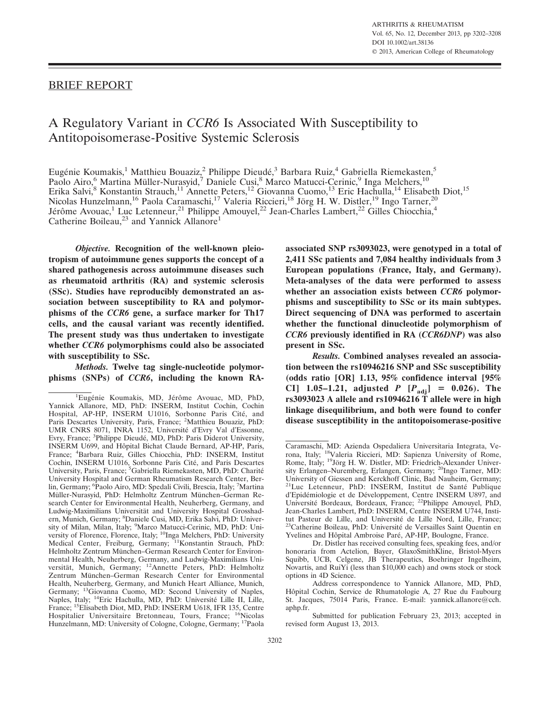## BRIEF REPORT

# A Regulatory Variant in *CCR6* Is Associated With Susceptibility to Antitopoisomerase-Positive Systemic Sclerosis

Eugénie Koumakis,<sup>1</sup> Matthieu Bouaziz,<sup>2</sup> Philippe Dieudé,<sup>3</sup> Barbara Ruiz,<sup>4</sup> Gabriella Riemekasten,<sup>5</sup> Paolo Airo,<sup>6</sup> Martina Müller-Nurasyid,<sup>7</sup> Daniele Cusi,<sup>8</sup> Marco Matucci-Cerinic,<sup>9</sup> Inga Melchers,<sup>10</sup> Erika Salvi,<sup>8</sup> Konstantin Strauch,<sup>11</sup> Annette Peters,<sup>12</sup> Giovanna Cuomo,<sup>13</sup> Eric Hachulla,<sup>14</sup> Elisabeth Diot,<sup>15</sup> Nicolas Hunzelmann,<sup>16</sup> Paola Caramaschi,<sup>17</sup> Valeria Riccieri,<sup>18</sup> Jörg H. W. Distler,<sup>19</sup> Ingo Tarner,<sup>20</sup> Jérôme Avouac,<sup>1</sup> Luc Letenneur,<sup>21</sup> Philippe Amouyel,<sup>22</sup> Jean-Charles Lambert,<sup>22</sup> Gilles Chiocchia,<sup>4</sup> Catherine Boileau,<sup>23</sup> and Yannick Allanore<sup>1</sup>

*Objective.* **Recognition of the well-known pleiotropism of autoimmune genes supports the concept of a shared pathogenesis across autoimmune diseases such as rheumatoid arthritis (RA) and systemic sclerosis (SSc). Studies have reproducibly demonstrated an association between susceptibility to RA and polymorphisms of the** *CCR6* **gene, a surface marker for Th17 cells, and the causal variant was recently identified. The present study was thus undertaken to investigate whether** *CCR6* **polymorphisms could also be associated with susceptibility to SSc.**

*Methods.* **Twelve tag single-nucleotide polymorphisms (SNPs) of** *CCR6***, including the known RA-** **associated SNP rs3093023, were genotyped in a total of 2,411 SSc patients and 7,084 healthy individuals from 3 European populations (France, Italy, and Germany). Meta-analyses of the data were performed to assess whether an association exists between** *CCR6* **polymorphisms and susceptibility to SSc or its main subtypes. Direct sequencing of DNA was performed to ascertain whether the functional dinucleotide polymorphism of** *CCR6* **previously identified in RA (***CCR6DNP***) was also present in SSc.**

*Results.* **Combined analyses revealed an association between the rs10946216 SNP and SSc susceptibility (odds ratio [OR] 1.13, 95% confidence interval [95% CI**] 1.05-1.21, adjusted *P*  $[P_{\text{adj}}] = 0.026$ . The **rs3093023 A allele and rs10946216 T allele were in high linkage disequilibrium, and both were found to confer disease susceptibility in the antitopoisomerase-positive**

<sup>&</sup>lt;sup>1</sup>Eugénie Koumakis, MD, Jérôme Avouac, MD, PhD, Yannick Allanore, MD, PhD: INSERM, Institut Cochin, Cochin Hospital, AP-HP, INSERM U1016, Sorbonne Paris Cité, and Paris Descartes University, Paris, France; <sup>2</sup>Matthieu Bouaziz, PhD: UMR CNRS 8071, INRA 1152, Universite´ d'Evry Val d'Essonne, Evry, France; <sup>3</sup>Philippe Dieudé, MD, PhD: Paris Diderot University, INSERM U699, and Hôpital Bichat Claude Bernard, AP-HP, Paris, France; <sup>4</sup> Barbara Ruiz, Gilles Chiocchia, PhD: INSERM, Institut Cochin, INSERM U1016, Sorbonne Paris Cité, and Paris Descartes University, Paris, France; <sup>5</sup>Gabriella Riemekasten, MD, PhD: Charité University Hospital and German Rheumatism Research Center, Berlin, Germany; <sup>6</sup>Paolo Airo, MD: Spedali Civili, Brescia, Italy; <sup>7</sup>Martina Müller-Nurasyid, PhD: Helmholtz Zentrum München-German Research Center for Environmental Health, Neuherberg, Germany, and Ludwig-Maximilians Universität and University Hospital Grosshadern, Munich, Germany; <sup>8</sup>Daniele Cusi, MD, Erika Salvi, PhD: University of Milan, Milan, Italy; <sup>9</sup>Marco Matucci-Cerinic, MD, PhD: University of Florence, Florence, Italy; <sup>10</sup>Inga Melchers, PhD: University Medical Center, Freiburg, Germany; <sup>11</sup>Konstantin Strauch, PhD: Helmholtz Zentrum München-German Research Center for Environmental Health, Neuherberg, Germany, and Ludwig-Maximilians Universität, Munich, Germany; 12Annette Peters, PhD: Helmholtz Zentrum München–German Research Center for Environmental Health, Neuherberg, Germany, and Munich Heart Alliance, Munich, Germany; 13Giovanna Cuomo, MD: Second University of Naples, Naples, Italy; <sup>14</sup>Eric Hachulla, MD, PhD: Université Lille II, Lille, France; 15Elisabeth Diot, MD, PhD: INSERM U618, IFR 135, Centre Hospitalier Universitaire Bretonneau, Tours, France; 16Nicolas Hunzelmann, MD: University of Cologne, Cologne, Germany; 17Paola

Caramaschi, MD: Azienda Ospedaliera Universitaria Integrata, Ve-<br>rona, Italy; <sup>18</sup>Valeria Riccieri, MD: Sapienza University of Rome, Rome, Italy; 19Jörg H. W. Distler, MD: Friedrich-Alexander University Erlangen-Nuremberg, Erlangen, Germany; <sup>20</sup>Ingo Tarner, MD: University of Giessen and Kerckhoff Clinic, Bad Nauheim, Germany; <sup>21</sup>Luc Letenneur, PhD: INSERM, Institut de Santé Publique d'Epidémiologie et de Développement, Centre INSERM U897, and Université Bordeaux, Bordeaux, France; <sup>22</sup>Philippe Amouyel, PhD, Jean-Charles Lambert, PhD: INSERM, Centre INSERM U744, Insti-<sup>3</sup>Catherine Boileau, PhD: Université de Versailles Saint Quentin en Yvelines and Hôpital Ambroise Paré, AP-HP, Boulogne, France.

Dr. Distler has received consulting fees, speaking fees, and/or honoraria from Actelion, Bayer, GlaxoSmithKline, Bristol-Myers Squibb, UCB, Celgene, JB Therapeutics, Boehringer Ingelheim, Novartis, and RuiYi (less than \$10,000 each) and owns stock or stock options in 4D Science.

Address correspondence to Yannick Allanore, MD, PhD, Hôpital Cochin, Service de Rhumatologie A, 27 Rue du Faubourg St. Jacques, 75014 Paris, France. E-mail: yannick.allanore@cch. aphp.fr.

Submitted for publication February 23, 2013; accepted in revised form August 13, 2013.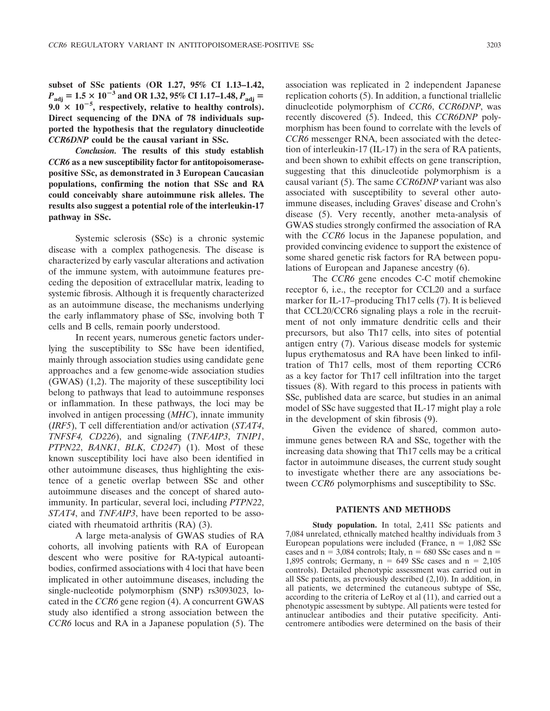**subset of SSc patients (OR 1.27, 95% CI 1.13–1.42,**  $P_{\text{adj}} = 1.5 \times 10^{-3}$  and OR 1.32, 95% CI 1.17–1.48,  $P_{\text{adj}} =$  $9.0 \times 10^{-5}$ , respectively, relative to healthy controls). **Direct sequencing of the DNA of 78 individuals supported the hypothesis that the regulatory dinucleotide** *CCR6DNP* **could be the causal variant in SSc.**

*Conclusion.* **The results of this study establish** *CCR6* **as a new susceptibility factor for antitopoisomerasepositive SSc, as demonstrated in 3 European Caucasian populations, confirming the notion that SSc and RA could conceivably share autoimmune risk alleles. The results also suggest a potential role of the interleukin-17 pathway in SSc.**

Systemic sclerosis (SSc) is a chronic systemic disease with a complex pathogenesis. The disease is characterized by early vascular alterations and activation of the immune system, with autoimmune features preceding the deposition of extracellular matrix, leading to systemic fibrosis. Although it is frequently characterized as an autoimmune disease, the mechanisms underlying the early inflammatory phase of SSc, involving both T cells and B cells, remain poorly understood.

In recent years, numerous genetic factors underlying the susceptibility to SSc have been identified, mainly through association studies using candidate gene approaches and a few genome-wide association studies (GWAS) (1,2). The majority of these susceptibility loci belong to pathways that lead to autoimmune responses or inflammation. In these pathways, the loci may be involved in antigen processing (*MHC*), innate immunity (*IRF5*), T cell differentiation and/or activation (*STAT4*, *TNFSF4, CD226*), and signaling (*TNFAIP3*, *TNIP1*, *PTPN22*, *BANK1*, *BLK*, *CD247*) (1). Most of these known susceptibility loci have also been identified in other autoimmune diseases, thus highlighting the existence of a genetic overlap between SSc and other autoimmune diseases and the concept of shared autoimmunity. In particular, several loci, including *PTPN22*, *STAT4*, and *TNFAIP3*, have been reported to be associated with rheumatoid arthritis (RA) (3).

A large meta-analysis of GWAS studies of RA cohorts, all involving patients with RA of European descent who were positive for RA-typical autoantibodies, confirmed associations with 4 loci that have been implicated in other autoimmune diseases, including the single-nucleotide polymorphism (SNP) rs3093023, located in the *CCR6* gene region (4). A concurrent GWAS study also identified a strong association between the *CCR6* locus and RA in a Japanese population (5). The

association was replicated in 2 independent Japanese replication cohorts (5). In addition, a functional triallelic dinucleotide polymorphism of *CCR6*, *CCR6DNP*, was recently discovered (5). Indeed, this *CCR6DNP* polymorphism has been found to correlate with the levels of *CCR6* messenger RNA, been associated with the detection of interleukin-17 (IL-17) in the sera of RA patients, and been shown to exhibit effects on gene transcription, suggesting that this dinucleotide polymorphism is a causal variant (5). The same *CCR6DNP* variant was also associated with susceptibility to several other autoimmune diseases, including Graves' disease and Crohn's disease (5). Very recently, another meta-analysis of GWAS studies strongly confirmed the association of RA with the *CCR6* locus in the Japanese population, and provided convincing evidence to support the existence of some shared genetic risk factors for RA between populations of European and Japanese ancestry (6).

The *CCR6* gene encodes C-C motif chemokine receptor 6, i.e., the receptor for CCL20 and a surface marker for IL-17–producing Th17 cells (7). It is believed that CCL20/CCR6 signaling plays a role in the recruitment of not only immature dendritic cells and their precursors, but also Th17 cells, into sites of potential antigen entry (7). Various disease models for systemic lupus erythematosus and RA have been linked to infiltration of Th17 cells, most of them reporting CCR6 as a key factor for Th17 cell infiltration into the target tissues (8). With regard to this process in patients with SSc, published data are scarce, but studies in an animal model of SSc have suggested that IL-17 might play a role in the development of skin fibrosis (9).

Given the evidence of shared, common autoimmune genes between RA and SSc, together with the increasing data showing that Th17 cells may be a critical factor in autoimmune diseases, the current study sought to investigate whether there are any associations between *CCR6* polymorphisms and susceptibility to SSc.

#### **PATIENTS AND METHODS**

**Study population.** In total, 2,411 SSc patients and 7,084 unrelated, ethnically matched healthy individuals from 3 European populations were included (France,  $n = 1,082$  SSc cases and  $n = 3,084$  controls; Italy,  $n = 680$  SSc cases and  $n =$ 1,895 controls; Germany,  $n = 649$  SSc cases and  $n = 2,105$ controls). Detailed phenotypic assessment was carried out in all SSc patients, as previously described (2,10). In addition, in all patients, we determined the cutaneous subtype of SSc, according to the criteria of LeRoy et al (11), and carried out a phenotypic assessment by subtype. All patients were tested for antinuclear antibodies and their putative specificity. Anticentromere antibodies were determined on the basis of their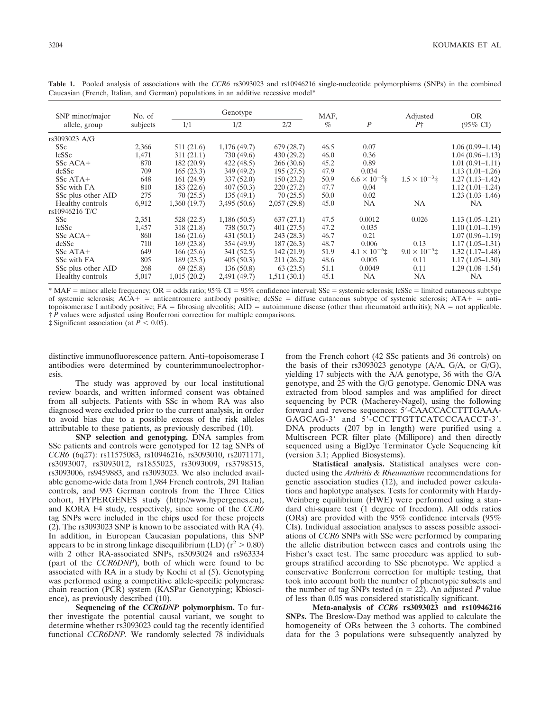| SNP minor/major<br>allele, group | No. of<br>subjects | Genotype    |              |             | MAF, |                        | Adjusted               | <b>OR</b>           |
|----------------------------------|--------------------|-------------|--------------|-------------|------|------------------------|------------------------|---------------------|
|                                  |                    | 1/1         | 1/2          | 2/2         | $\%$ | $\boldsymbol{P}$       | $P+$                   | $(95\% \text{ CI})$ |
| rs3093023 A/G                    |                    |             |              |             |      |                        |                        |                     |
| <b>SSc</b>                       | 2,366              | 511(21.6)   | 1,176(49.7)  | 679 (28.7)  | 46.5 | 0.07                   |                        | $1.06(0.99-1.14)$   |
| <b>lcSSc</b>                     | 1,471              | 311(21.1)   | 730 (49.6)   | 430 (29.2)  | 46.0 | 0.36                   |                        | $1.04(0.96 - 1.13)$ |
| $SSc ACA+$                       | 870                | 182(20.9)   | 422 (48.5)   | 266(30.6)   | 45.2 | 0.89                   |                        | $1.01(0.91 - 1.11)$ |
| dcSSc                            | 709                | 165(23.3)   | 349 (49.2)   | 195 (27.5)  | 47.9 | 0.034                  |                        | $1.13(1.01-1.26)$   |
| $SSc$ ATA+                       | 648                | 161(24.9)   | 337 (52.0)   | 150(23.2)   | 50.9 | $6.6 \times 10^{-5}$ ‡ | $1.5 \times 10^{-3}$ ± | $1.27(1.13 - 1.42)$ |
| SSc with FA                      | 810                | 183(22.6)   | 407(50.3)    | 220(27.2)   | 47.7 | 0.04                   |                        | $1.12(1.01-1.24)$   |
| SSc plus other AID               | 275                | 70(25.5)    | 135(49.1)    | 70(25.5)    | 50.0 | 0.02                   |                        | $1.23(1.03-1.46)$   |
| Healthy controls                 | 6,912              | 1,360(19.7) | 3,495(50.6)  | 2,057(29.8) | 45.0 | <b>NA</b>              | NA.                    | <b>NA</b>           |
| rs10946216 T/C                   |                    |             |              |             |      |                        |                        |                     |
| SS <sub>c</sub>                  | 2,351              | 528 (22.5)  | 1,186(50.5)  | 637(27.1)   | 47.5 | 0.0012                 | 0.026                  | $1.13(1.05-1.21)$   |
| <b>lcSSc</b>                     | 1,457              | 318 (21.8)  | 738 (50.7)   | 401(27.5)   | 47.2 | 0.035                  |                        | $1.10(1.01-1.19)$   |
| SSc ACA+                         | 860                | 186(21.6)   | 431(50.1)    | 243 (28.3)  | 46.7 | 0.21                   |                        | $1.07(0.96 - 1.19)$ |
| dcSSc                            | 710                | 169(23.8)   | 354 (49.9)   | 187(26.3)   | 48.7 | 0.006                  | 0.13                   | $1.17(1.05-1.31)$   |
| $SSc$ ATA+                       | 649                | 166(25.6)   | 341 (52.5)   | 142 (21.9)  | 51.9 | $4.1 \times 10^{-6}$ : | $9.0 \times 10^{-5}$ : | $1.32(1.17-1.48)$   |
| SSc with FA                      | 805                | 189 (23.5)  | 405(50.3)    | 211 (26.2)  | 48.6 | 0.005                  | 0.11                   | $1.17(1.05-1.30)$   |
| SSc plus other AID               | 268                | 69(25.8)    | 136(50.8)    | 63(23.5)    | 51.1 | 0.0049                 | 0.11                   | $1.29(1.08-1.54)$   |
| Healthy controls                 | 5,017              | 1,015(20.2) | 2,491 (49.7) | 1,511(30.1) | 45.1 | <b>NA</b>              | <b>NA</b>              | NA.                 |

**Table 1.** Pooled analysis of associations with the *CCR6* rs3093023 and rs10946216 single-nucleotide polymorphisms (SNPs) in the combined Caucasian (French, Italian, and German) populations in an additive recessive model\*

\* MAF = minor allele frequency; OR = odds ratio;  $95\%$  CI =  $95\%$  confidence interval; SSc = systemic sclerosis; lcSSc = limited cutaneous subtype of systemic sclerosis;  $ACA + \frac{1}{2}$  anticentromere antibody positive;  $dcSSc =$  diffuse cutaneous subtype of systemic sclerosis;  $ATA + \frac{1}{2}$  antitopoisomerase I antibody positive;  $FA =$  fibrosing alveolitis;  $AID =$  autoimmune disease (other than rheumatoid arthritis);  $NA =$  not applicable. † *P* values were adjusted using Bonferroni correction for multiple comparisons.

 $\ddagger$  Significant association (at  $\ddot{P}$  < 0.05).

distinctive immunofluorescence pattern. Anti–topoisomerase I antibodies were determined by counterimmunoelectrophoresis.

The study was approved by our local institutional review boards, and written informed consent was obtained from all subjects. Patients with SSc in whom RA was also diagnosed were excluded prior to the current analysis, in order to avoid bias due to a possible excess of the risk alleles attributable to these patients, as previously described (10).

**SNP selection and genotyping.** DNA samples from SSc patients and controls were genotyped for 12 tag SNPs of *CCR6* (6q27): rs11575083, rs10946216, rs3093010, rs2071171, rs3093007, rs3093012, rs1855025, rs3093009, rs3798315, rs3093006, rs9459883, and rs3093023. We also included available genome-wide data from 1,984 French controls, 291 Italian controls, and 993 German controls from the Three Cities cohort, HYPERGENES study (http://www.hypergenes.eu), and KORA F4 study, respectively, since some of the *CCR6* tag SNPs were included in the chips used for these projects (2). The rs3093023 SNP is known to be associated with RA (4). In addition, in European Caucasian populations, this SNP appears to be in strong linkage disequilibrium (LD) ( $r^2 > 0.80$ ) with 2 other RA-associated SNPs, rs3093024 and rs963334 (part of the *CCR6DNP*), both of which were found to be associated with RA in a study by Kochi et al (5). Genotyping was performed using a competitive allele-specific polymerase chain reaction (PCR) system (KASPar Genotyping; Kbioscience), as previously described (10).

**Sequencing of the** *CCR6DNP* **polymorphism.** To further investigate the potential causal variant, we sought to determine whether rs3093023 could tag the recently identified functional *CCR6DNP.* We randomly selected 78 individuals from the French cohort (42 SSc patients and 36 controls) on the basis of their rs3093023 genotype (A/A, G/A, or G/G), yielding 17 subjects with the A/A genotype, 36 with the G/A genotype, and 25 with the G/G genotype. Genomic DNA was extracted from blood samples and was amplified for direct sequencing by PCR (Macherey-Nagel), using the following forward and reverse sequences: 5-CAACCACCTTTGAAA-GAGCAG-3' and 5'-CCCTTGTTCATCCCAACCT-3'. DNA products (207 bp in length) were purified using a Multiscreen PCR filter plate (Millipore) and then directly sequenced using a BigDye Terminator Cycle Sequencing kit (version 3.1; Applied Biosystems).

**Statistical analysis.** Statistical analyses were conducted using the *Arthritis & Rheumatism* recommendations for genetic association studies (12), and included power calculations and haplotype analyses. Tests for conformity with Hardy-Weinberg equilibrium (HWE) were performed using a standard chi-square test (1 degree of freedom). All odds ratios (ORs) are provided with the 95% confidence intervals (95% CIs). Individual association analyses to assess possible associations of *CCR6* SNPs with SSc were performed by comparing the allelic distribution between cases and controls using the Fisher's exact test. The same procedure was applied to subgroups stratified according to SSc phenotype. We applied a conservative Bonferroni correction for multiple testing, that took into account both the number of phenotypic subsets and the number of tag SNPs tested ( $n = 22$ ). An adjusted *P* value of less than 0.05 was considered statistically significant.

**Meta-analysis of** *CCR6* **rs3093023 and rs10946216 SNPs.** The Breslow-Day method was applied to calculate the homogeneity of ORs between the 3 cohorts. The combined data for the 3 populations were subsequently analyzed by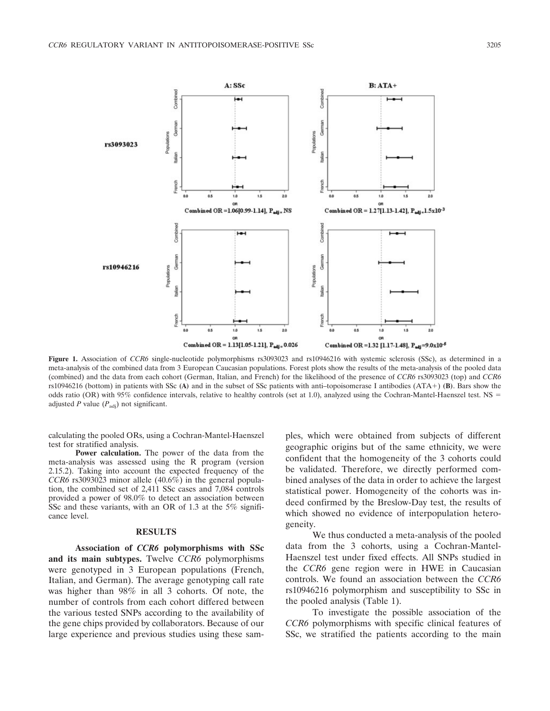

**Figure 1.** Association of *CCR6* single-nucleotide polymorphisms rs3093023 and rs10946216 with systemic sclerosis (SSc), as determined in a meta-analysis of the combined data from 3 European Caucasian populations. Forest plots show the results of the meta-analysis of the pooled data (combined) and the data from each cohort (German, Italian, and French) for the likelihood of the presence of *CCR6* rs3093023 (top) and *CCR6* rs10946216 (bottom) in patients with SSc **(A)** and in the subset of SSc patients with anti–topoisomerase I antibodies (ATA) **(B)**. Bars show the odds ratio (OR) with 95% confidence intervals, relative to healthy controls (set at 1.0), analyzed using the Cochran-Mantel-Haenszel test. NS adjusted *P* value  $(P_{\text{adj}})$  not significant.

calculating the pooled ORs, using a Cochran-Mantel-Haenszel test for stratified analysis.

**Power calculation.** The power of the data from the meta-analysis was assessed using the R program (version 2.15.2). Taking into account the expected frequency of the *CCR6* rs3093023 minor allele (40.6%) in the general population, the combined set of 2,411 SSc cases and 7,084 controls provided a power of 98.0% to detect an association between SSc and these variants, with an OR of 1.3 at the 5% significance level.

#### **RESULTS**

**Association of** *CCR6* **polymorphisms with SSc and its main subtypes.** Twelve *CCR6* polymorphisms were genotyped in 3 European populations (French, Italian, and German). The average genotyping call rate was higher than 98% in all 3 cohorts. Of note, the number of controls from each cohort differed between the various tested SNPs according to the availability of the gene chips provided by collaborators. Because of our large experience and previous studies using these sam-

ples, which were obtained from subjects of different geographic origins but of the same ethnicity, we were confident that the homogeneity of the 3 cohorts could be validated. Therefore, we directly performed combined analyses of the data in order to achieve the largest statistical power. Homogeneity of the cohorts was indeed confirmed by the Breslow-Day test, the results of which showed no evidence of interpopulation heterogeneity.

We thus conducted a meta-analysis of the pooled data from the 3 cohorts, using a Cochran-Mantel-Haenszel test under fixed effects. All SNPs studied in the *CCR6* gene region were in HWE in Caucasian controls. We found an association between the *CCR6* rs10946216 polymorphism and susceptibility to SSc in the pooled analysis (Table 1).

To investigate the possible association of the *CCR6* polymorphisms with specific clinical features of SSc, we stratified the patients according to the main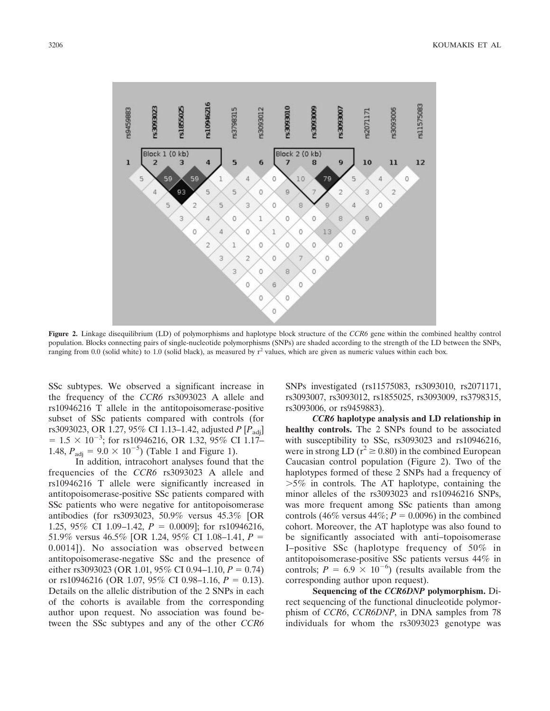

**Figure 2.** Linkage disequilibrium (LD) of polymorphisms and haplotype block structure of the *CCR6* gene within the combined healthy control population. Blocks connecting pairs of single-nucleotide polymorphisms (SNPs) are shaded according to the strength of the LD between the SNPs, ranging from 0.0 (solid white) to 1.0 (solid black), as measured by  $r^2$  values, which are given as numeric values within each box.

SSc subtypes. We observed a significant increase in the frequency of the *CCR6* rs3093023 A allele and rs10946216 T allele in the antitopoisomerase-positive subset of SSc patients compared with controls (for rs3093023, OR 1.27, 95% CI 1.13–1.42, adjusted *P* [*P*<sub>adi</sub>]  $= 1.5 \times 10^{-3}$ ; for rs10946216, OR 1.32, 95% CI 1.17– 1.48,  $P_{\text{adj}} = 9.0 \times 10^{-5}$ ) (Table 1 and Figure 1).

In addition, intracohort analyses found that the frequencies of the *CCR6* rs3093023 A allele and rs10946216 T allele were significantly increased in antitopoisomerase-positive SSc patients compared with SSc patients who were negative for antitopoisomerase antibodies (for rs3093023, 50.9% versus 45.3% [OR 1.25, 95% CI 1.09–1.42,  $P = 0.0009$ ; for rs10946216, 51.9% versus 46.5% [OR 1.24, 95% CI 1.08–1.41, *P* 0.0014]). No association was observed between antitopoisomerase-negative SSc and the presence of either rs3093023 (OR 1.01, 95% CI 0.94–1.10,  $P = 0.74$ ) or  $rs10946216$  (OR 1.07, 95% CI 0.98–1.16,  $P = 0.13$ ). Details on the allelic distribution of the 2 SNPs in each of the cohorts is available from the corresponding author upon request. No association was found between the SSc subtypes and any of the other *CCR6* SNPs investigated (rs11575083, rs3093010, rs2071171, rs3093007, rs3093012, rs1855025, rs3093009, rs3798315, rs3093006, or rs9459883).

*CCR6* **haplotype analysis and LD relationship in healthy controls.** The 2 SNPs found to be associated with susceptibility to SSc, rs3093023 and rs10946216, were in strong LD ( $r^2 \ge 0.80$ ) in the combined European Caucasian control population (Figure 2). Two of the haplotypes formed of these 2 SNPs had a frequency of -5% in controls. The AT haplotype, containing the minor alleles of the rs3093023 and rs10946216 SNPs, was more frequent among SSc patients than among controls (46% versus 44%;  $P = 0.0096$ ) in the combined cohort. Moreover, the AT haplotype was also found to be significantly associated with anti–topoisomerase I–positive SSc (haplotype frequency of 50% in antitopoisomerase-positive SSc patients versus 44% in controls;  $P = 6.9 \times 10^{-6}$ ) (results available from the corresponding author upon request).

**Sequencing of the** *CCR6DNP* **polymorphism.** Direct sequencing of the functional dinucleotide polymorphism of *CCR6*, *CCR6DNP*, in DNA samples from 78 individuals for whom the rs3093023 genotype was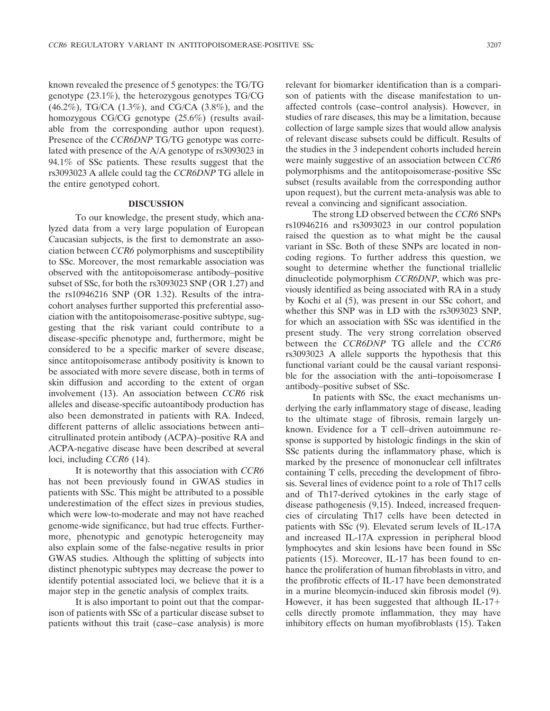known revealed the presence of 5 genotypes: the TG/TG genotype (23.1%), the heterozygous genotypes TG/CG (46.2%), TG/CA (1.3%), and CG/CA (3.8%), and the homozygous CG/CG genotype (25.6%) (results available from the corresponding author upon request). Presence of the *CCR6DNP* TG/TG genotype was correlated with presence of the A/A genotype of rs3093023 in 94.1% of SSc patients. These results suggest that the rs3093023 A allele could tag the *CCR6DNP* TG allele in the entire genotyped cohort.

#### **DISCUSSION**

To our knowledge, the present study, which analyzed data from a very large population of European Caucasian subjects, is the first to demonstrate an association between *CCR6* polymorphisms and susceptibility to SSc. Moreover, the most remarkable association was observed with the antitopoisomerase antibody–positive subset of SSc, for both the rs3093023 SNP (OR 1.27) and the rs10946216 SNP (OR 1.32). Results of the intracohort analyses further supported this preferential association with the antitopoisomerase-positive subtype, suggesting that the risk variant could contribute to a disease-specific phenotype and, furthermore, might be considered to be a specific marker of severe disease, since antitopoisomerase antibody positivity is known to be associated with more severe disease, both in terms of skin diffusion and according to the extent of organ involvement (13). An association between *CCR6* risk alleles and disease-specific autoantibody production has also been demonstrated in patients with RA. Indeed, different patterns of allelic associations between anti– citrullinated protein antibody (ACPA)–positive RA and ACPA-negative disease have been described at several loci, including *CCR6* (14).

It is noteworthy that this association with *CCR6* has not been previously found in GWAS studies in patients with SSc. This might be attributed to a possible underestimation of the effect sizes in previous studies, which were low-to-moderate and may not have reached genome-wide significance, but had true effects. Furthermore, phenotypic and genotypic heterogeneity may also explain some of the false-negative results in prior GWAS studies. Although the splitting of subjects into distinct phenotypic subtypes may decrease the power to identify potential associated loci, we believe that it is a major step in the genetic analysis of complex traits.

It is also important to point out that the comparison of patients with SSc of a particular disease subset to patients without this trait (case–case analysis) is more relevant for biomarker identification than is a comparison of patients with the disease manifestation to unaffected controls (case–control analysis). However, in studies of rare diseases, this may be a limitation, because collection of large sample sizes that would allow analysis of relevant disease subsets could be difficult. Results of the studies in the 3 independent cohorts included herein were mainly suggestive of an association between *CCR6* polymorphisms and the antitopoisomerase-positive SSc subset (results available from the corresponding author upon request), but the current meta-analysis was able to reveal a convincing and significant association.

The strong LD observed between the *CCR6* SNPs rs10946216 and rs3093023 in our control population raised the question as to what might be the causal variant in SSc. Both of these SNPs are located in noncoding regions. To further address this question, we sought to determine whether the functional triallelic dinucleotide polymorphism *CCR6DNP*, which was previously identified as being associated with RA in a study by Kochi et al (5), was present in our SSc cohort, and whether this SNP was in LD with the rs3093023 SNP, for which an association with SSc was identified in the present study. The very strong correlation observed between the *CCR6DNP* TG allele and the *CCR6* rs3093023 A allele supports the hypothesis that this functional variant could be the causal variant responsible for the association with the anti–topoisomerase I antibody–positive subset of SSc.

In patients with SSc, the exact mechanisms underlying the early inflammatory stage of disease, leading to the ultimate stage of fibrosis, remain largely unknown. Evidence for a T cell–driven autoimmune response is supported by histologic findings in the skin of SSc patients during the inflammatory phase, which is marked by the presence of mononuclear cell infiltrates containing T cells, preceding the development of fibrosis. Several lines of evidence point to a role of Th17 cells and of Th17-derived cytokines in the early stage of disease pathogenesis (9,15). Indeed, increased frequencies of circulating Th17 cells have been detected in patients with SSc (9). Elevated serum levels of IL-17A and increased IL-17A expression in peripheral blood lymphocytes and skin lesions have been found in SSc patients (15). Moreover, IL-17 has been found to enhance the proliferation of human fibroblasts in vitro, and the profibrotic effects of IL-17 have been demonstrated in a murine bleomycin-induced skin fibrosis model (9). However, it has been suggested that although IL-17 cells directly promote inflammation, they may have inhibitory effects on human myofibroblasts (15). Taken